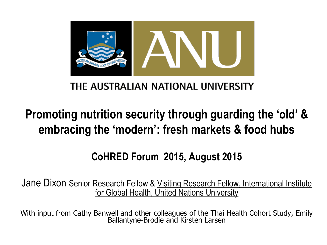

### THE AUSTRALIAN NATIONAL UNIVERSITY

# **Promoting nutrition security through guarding the 'old' & embracing the 'modern': fresh markets & food hubs**

## **CoHRED Forum 2015, August 2015**

Jane Dixon Senior Research Fellow & Visiting Research Fellow, International Institute for Global Health, United Nations University

With input from Cathy Banwell and other colleagues of the Thai Health Cohort Study, Emily Ballantyne-Brodie and Kirsten Larsen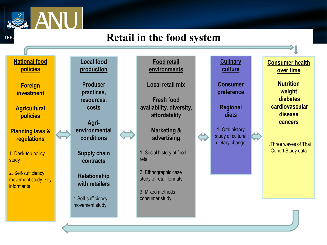

**THE** 

### **Retail in the food system**